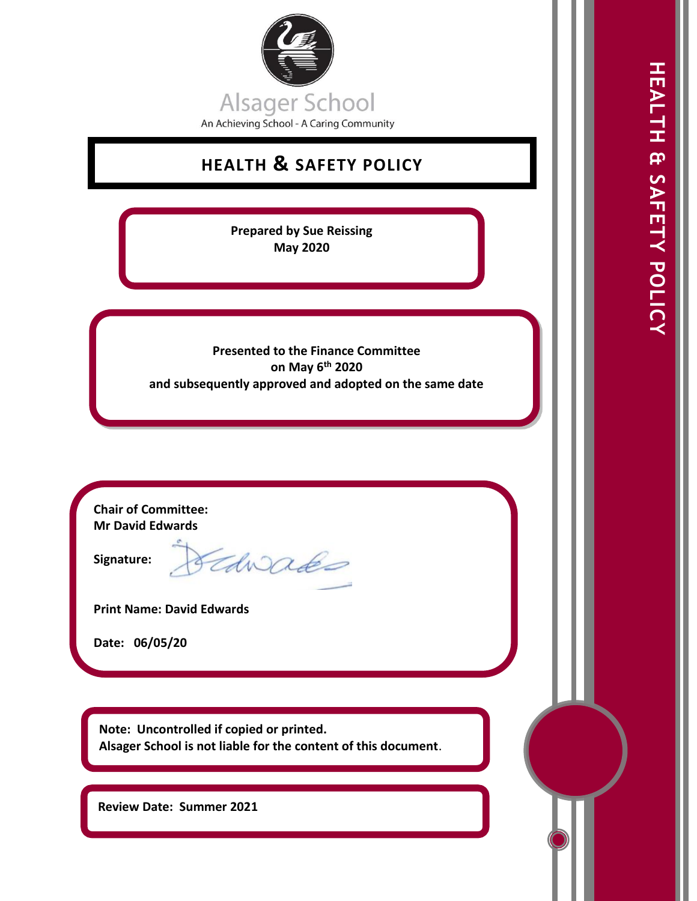

# **HEALTH & SAFETY POLICY**

**Prepared by Sue Reissing May 2020**

**Presented to the Finance Committee on May 6th 2020 and subsequently approved and adopted on the same date**

**Chair of Committee: Mr David Edwards**

**Signature:**

Schoaks

**Print Name: David Edwards**

**Date: 06/05/20**

**Note: Uncontrolled if copied or printed. Alsager School is not liable for the content of this document**.

**Review Date: Summer 2021**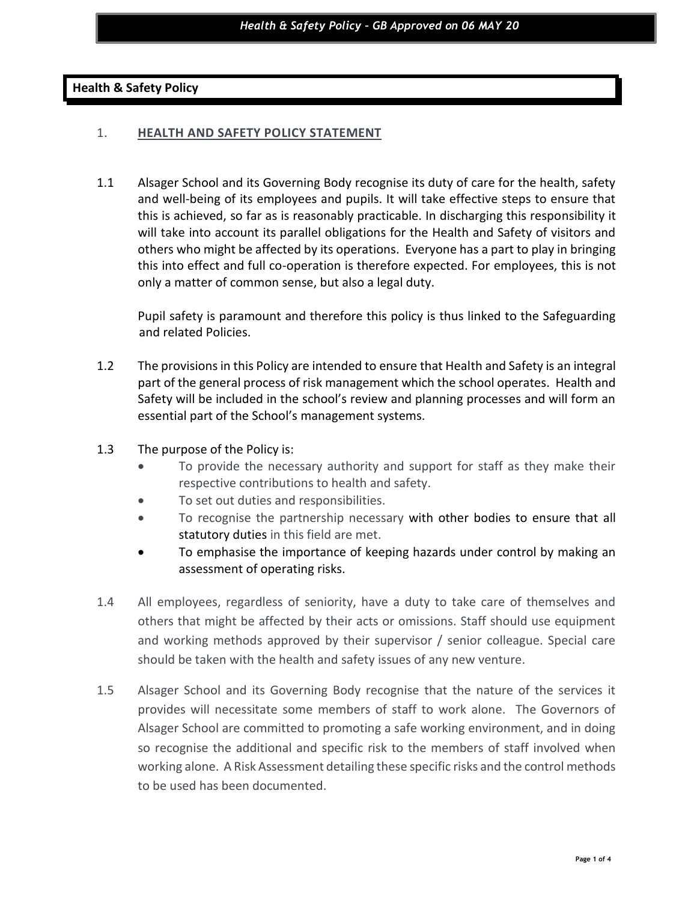## **Health & Safety Policy**

#### 1. **HEALTH AND SAFETY POLICY STATEMENT**

1.1 Alsager School and its Governing Body recognise its duty of care for the health, safety and well-being of its employees and pupils. It will take effective steps to ensure that this is achieved, so far as is reasonably practicable. In discharging this responsibility it will take into account its parallel obligations for the Health and Safety of visitors and others who might be affected by its operations. Everyone has a part to play in bringing this into effect and full co-operation is therefore expected. For employees, this is not only a matter of common sense, but also a legal duty.

Pupil safety is paramount and therefore this policy is thus linked to the Safeguarding and related Policies.

- 1.2 The provisions in this Policy are intended to ensure that Health and Safety is an integral part of the general process of risk management which the school operates. Health and Safety will be included in the school's review and planning processes and will form an essential part of the School's management systems.
- 1.3 The purpose of the Policy is:
	- To provide the necessary authority and support for staff as they make their respective contributions to health and safety.
	- To set out duties and responsibilities.
	- To recognise the partnership necessary with other bodies to ensure that all statutory duties in this field are met.
	- To emphasise the importance of keeping hazards under control by making an assessment of operating risks.
- 1.4 All employees, regardless of seniority, have a duty to take care of themselves and others that might be affected by their acts or omissions. Staff should use equipment and working methods approved by their supervisor / senior colleague. Special care should be taken with the health and safety issues of any new venture.
- 1.5 Alsager School and its Governing Body recognise that the nature of the services it provides will necessitate some members of staff to work alone. The Governors of Alsager School are committed to promoting a safe working environment, and in doing so recognise the additional and specific risk to the members of staff involved when working alone. A Risk Assessment detailing these specific risks and the control methods to be used has been documented.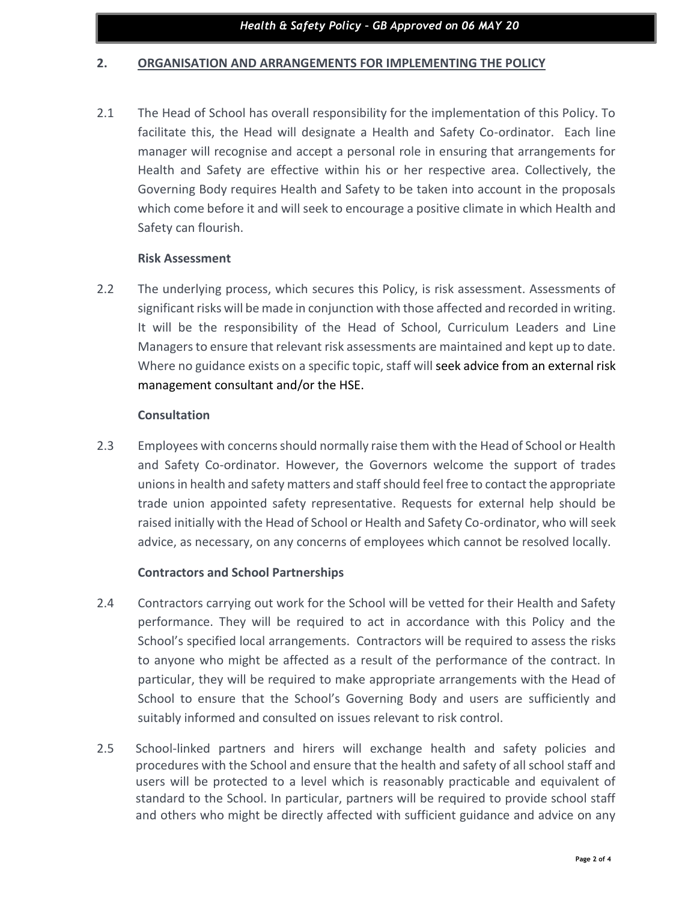# **2. ORGANISATION AND ARRANGEMENTS FOR IMPLEMENTING THE POLICY**

2.1 The Head of School has overall responsibility for the implementation of this Policy. To facilitate this, the Head will designate a Health and Safety Co-ordinator. Each line manager will recognise and accept a personal role in ensuring that arrangements for Health and Safety are effective within his or her respective area. Collectively, the Governing Body requires Health and Safety to be taken into account in the proposals which come before it and will seek to encourage a positive climate in which Health and Safety can flourish.

## **Risk Assessment**

2.2 The underlying process, which secures this Policy, is risk assessment. Assessments of significant risks will be made in conjunction with those affected and recorded in writing. It will be the responsibility of the Head of School, Curriculum Leaders and Line Managers to ensure that relevant risk assessments are maintained and kept up to date. Where no guidance exists on a specific topic, staff will seek advice from an external risk management consultant and/or the HSE.

## **Consultation**

2.3 Employees with concerns should normally raise them with the Head of School or Health and Safety Co-ordinator. However, the Governors welcome the support of trades unions in health and safety matters and staff should feel free to contact the appropriate trade union appointed safety representative. Requests for external help should be raised initially with the Head of School or Health and Safety Co-ordinator, who will seek advice, as necessary, on any concerns of employees which cannot be resolved locally.

## **Contractors and School Partnerships**

- 2.4 Contractors carrying out work for the School will be vetted for their Health and Safety performance. They will be required to act in accordance with this Policy and the School's specified local arrangements. Contractors will be required to assess the risks to anyone who might be affected as a result of the performance of the contract. In particular, they will be required to make appropriate arrangements with the Head of School to ensure that the School's Governing Body and users are sufficiently and suitably informed and consulted on issues relevant to risk control.
- 2.5 School-linked partners and hirers will exchange health and safety policies and procedures with the School and ensure that the health and safety of all school staff and users will be protected to a level which is reasonably practicable and equivalent of standard to the School. In particular, partners will be required to provide school staff and others who might be directly affected with sufficient guidance and advice on any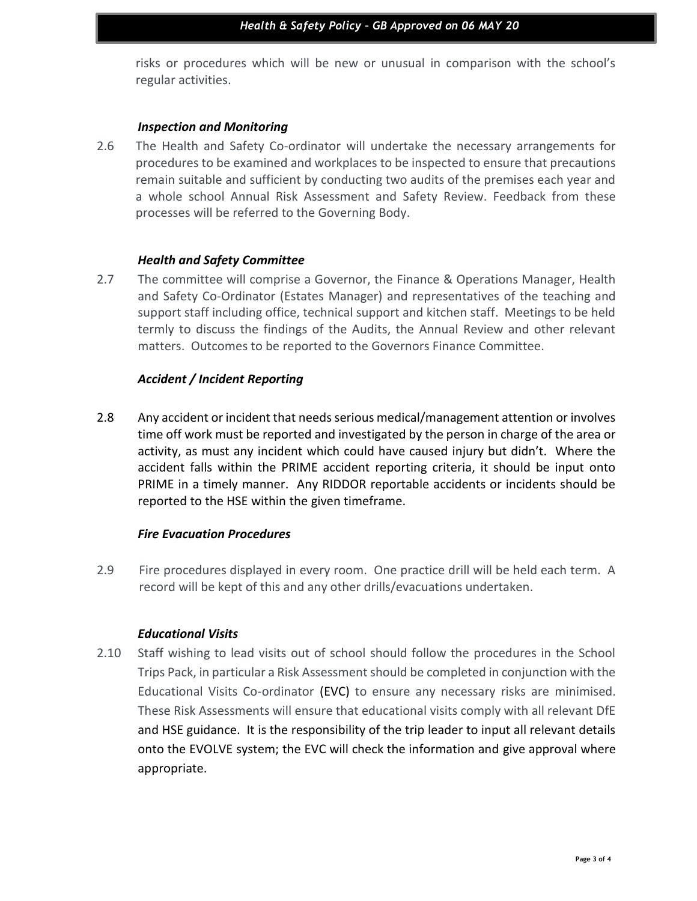risks or procedures which will be new or unusual in comparison with the school's regular activities.

#### *Inspection and Monitoring*

2.6 The Health and Safety Co-ordinator will undertake the necessary arrangements for procedures to be examined and workplaces to be inspected to ensure that precautions remain suitable and sufficient by conducting two audits of the premises each year and a whole school Annual Risk Assessment and Safety Review. Feedback from these processes will be referred to the Governing Body.

#### *Health and Safety Committee*

2.7 The committee will comprise a Governor, the Finance & Operations Manager, Health and Safety Co-Ordinator (Estates Manager) and representatives of the teaching and support staff including office, technical support and kitchen staff. Meetings to be held termly to discuss the findings of the Audits, the Annual Review and other relevant matters. Outcomes to be reported to the Governors Finance Committee.

#### *Accident / Incident Reporting*

2.8 Any accident or incident that needs serious medical/management attention or involves time off work must be reported and investigated by the person in charge of the area or activity, as must any incident which could have caused injury but didn't. Where the accident falls within the PRIME accident reporting criteria, it should be input onto PRIME in a timely manner. Any RIDDOR reportable accidents or incidents should be reported to the HSE within the given timeframe.

#### *Fire Evacuation Procedures*

2.9 Fire procedures displayed in every room. One practice drill will be held each term. A record will be kept of this and any other drills/evacuations undertaken.

#### *Educational Visits*

2.10 Staff wishing to lead visits out of school should follow the procedures in the School Trips Pack, in particular a Risk Assessment should be completed in conjunction with the Educational Visits Co-ordinator (EVC) to ensure any necessary risks are minimised. These Risk Assessments will ensure that educational visits comply with all relevant DfE and HSE guidance. It is the responsibility of the trip leader to input all relevant details onto the EVOLVE system; the EVC will check the information and give approval where appropriate.